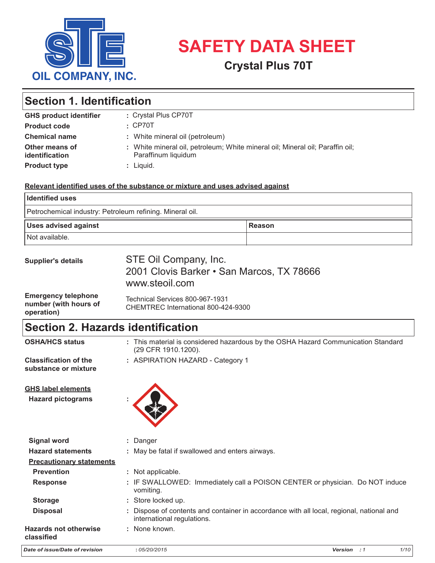

# SAFETY DAT **USHIEL SAFETY DATA SHEET**

## **SAFETY DATA SHEETING CRYSTAL Plus 70T** 2001 Clovis Barker Rd.

### Duopac® Oil 70 **GHS product identifier :**  $\begin{array}{|l|} \textbf{Section 1. Identification} \end{array}$

| <b>GHS product identifier</b>    | : Crystal Plus CP70T                                                                                 |
|----------------------------------|------------------------------------------------------------------------------------------------------|
| <b>Product code</b>              | $\cdot$ CP70T                                                                                        |
| <b>Chemical name</b>             | : White mineral oil (petroleum)                                                                      |
| Other means of<br>identification | : White mineral oil, petroleum; White mineral oil; Mineral oil; Paraffin oil;<br>Paraffinum liquidum |
| <b>Product type</b>              | $:$ Liquid.                                                                                          |

Duopac® Oil 70

## Relevant identified uses of the substance or mixture and uses advised against

| <b>Identified uses</b>                                   |        |
|----------------------------------------------------------|--------|
| Petrochemical industry: Petroleum refining. Mineral oil. |        |
| <b>Uses advised against</b>                              | Reason |
| Not available.                                           |        |

| <b>Supplier's details</b>                                         | STE Oil Company, Inc.<br>2001 Clovis Barker • San Marcos, TX 78666<br>www.steoil.com |
|-------------------------------------------------------------------|--------------------------------------------------------------------------------------|
| <b>Emergency telephone</b><br>number (with hours of<br>oneration) | Technical Services 800-967-1931<br>CHEMTREC International 800-424-9300               |

#### **Section 2. Hazards identification** 24 hr. CHEMTREC 1-800-424-9300 / International 1-703-527-3887 **Emergency telephone Section 2. Haz : operation)** (29 CFR 1910.1200).

**operation)** 

| <b>OSHA/HCS status</b>                                | : This material is considered hazardous by the OSHA Hazard Communication Standard<br>(29 CFR 1910.1200).               |
|-------------------------------------------------------|------------------------------------------------------------------------------------------------------------------------|
| <b>Classification of the</b><br>substance or mixture  | : ASPIRATION HAZARD - Category 1                                                                                       |
| <b>GHS label elements</b><br><b>Hazard pictograms</b> |                                                                                                                        |
| <b>Signal word</b>                                    | : Danger                                                                                                               |
| <b>Hazard statements</b>                              | : May be fatal if swallowed and enters airways.                                                                        |
| <b>Precautionary statements</b>                       |                                                                                                                        |
| <b>Prevention</b>                                     | : Not applicable.                                                                                                      |
| <b>Response</b>                                       | : IF SWALLOWED: Immediately call a POISON CENTER or physician. Do NOT induce<br>vomiting.                              |
| <b>Storage</b>                                        | : Store locked up.                                                                                                     |
| <b>Disposal</b>                                       | : Dispose of contents and container in accordance with all local, regional, national and<br>international regulations. |
| <b>Hazards not otherwise</b><br>classified            | : None known.                                                                                                          |
| Date of issue/Date of revision                        | 1/10<br>:05/20/2015<br>Version : 1                                                                                     |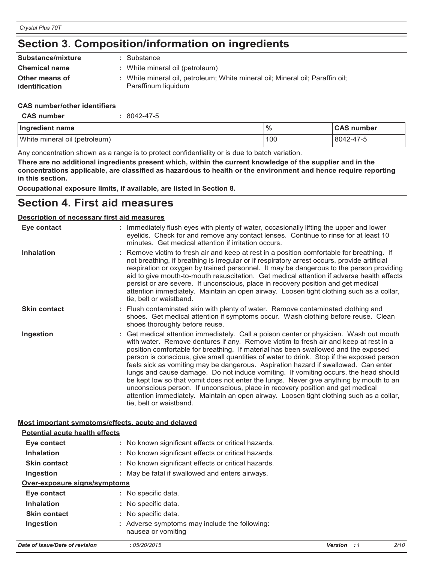# **Section 3. Composition/information on ingredients Section 3. Composition/information on ingredients**

| Substance/mixture                                        |  | : Substance                                                                                          |      |            |
|----------------------------------------------------------|--|------------------------------------------------------------------------------------------------------|------|------------|
| <b>Chemical name</b>                                     |  | : White mineral oil (petroleum)                                                                      |      |            |
| Other means of<br>identification                         |  | : White mineral oil, petroleum; White mineral oil; Mineral oil; Paraffin oil;<br>Paraffinum liquidum |      |            |
| <b>CAS number/other identifiers</b><br><b>CAS number</b> |  | $:8042-47-5$                                                                                         |      |            |
|                                                          |  |                                                                                                      |      |            |
| Ingredient name                                          |  |                                                                                                      | $\%$ | <b>CAS</b> |
| White mineral oil (petroleum)                            |  |                                                                                                      | 100  | 804        |
|                                                          |  | Any concentration shown as a range is to protect confidentiality or is due to batch variation.       |      |            |

#### **CAS number/other identifiers**

| Ingredient name               | $\frac{9}{6}$ | <b>CAS number</b> |
|-------------------------------|---------------|-------------------|
| White mineral oil (petroleum) | 1100          | 8042-47-5         |

Any concentration shown as a range is to protect confidentiality or is due to batch variation.

There are no additional ingredients present which, within the current knowledge of the supplier and in the concentrations applicable, are classified as hazardous to health or the environment and hence require reporting **in this section. in this section.**

**Occupational exposure limits, if available, are listed in Section 8. Occupational exposure limits, if available, are listed in Section 8.**

# **Section 4. First aid measures Section 4. First aid measures**

#### **Description of necessary first aid measures Description of necessary first aid measures**

| Eye contact         | : Immediately flush eyes with plenty of water, occasionally lifting the upper and lower<br>eyelids. Check for and remove any contact lenses. Continue to rinse for at least 10<br>minutes. Get medical attention if irritation occurs.                                                                                                                                                                                                                                                                                                                                                                                                                                                                                                                                                                                                          |
|---------------------|-------------------------------------------------------------------------------------------------------------------------------------------------------------------------------------------------------------------------------------------------------------------------------------------------------------------------------------------------------------------------------------------------------------------------------------------------------------------------------------------------------------------------------------------------------------------------------------------------------------------------------------------------------------------------------------------------------------------------------------------------------------------------------------------------------------------------------------------------|
| <b>Inhalation</b>   | : Remove victim to fresh air and keep at rest in a position comfortable for breathing. If<br>not breathing, if breathing is irregular or if respiratory arrest occurs, provide artificial<br>respiration or oxygen by trained personnel. It may be dangerous to the person providing<br>aid to give mouth-to-mouth resuscitation. Get medical attention if adverse health effects<br>persist or are severe. If unconscious, place in recovery position and get medical<br>attention immediately. Maintain an open airway. Loosen tight clothing such as a collar,<br>tie, belt or waistband.                                                                                                                                                                                                                                                    |
| <b>Skin contact</b> | : Flush contaminated skin with plenty of water. Remove contaminated clothing and<br>shoes. Get medical attention if symptoms occur. Wash clothing before reuse. Clean<br>shoes thoroughly before reuse.                                                                                                                                                                                                                                                                                                                                                                                                                                                                                                                                                                                                                                         |
| Ingestion           | : Get medical attention immediately. Call a poison center or physician. Wash out mouth<br>with water. Remove dentures if any. Remove victim to fresh air and keep at rest in a<br>position comfortable for breathing. If material has been swallowed and the exposed<br>person is conscious, give small quantities of water to drink. Stop if the exposed person<br>feels sick as vomiting may be dangerous. Aspiration hazard if swallowed. Can enter<br>lungs and cause damage. Do not induce vomiting. If vomiting occurs, the head should<br>be kept low so that vomit does not enter the lungs. Never give anything by mouth to an<br>unconscious person. If unconscious, place in recovery position and get medical<br>attention immediately. Maintain an open airway. Loosen tight clothing such as a collar,<br>tie, belt or waistband. |

## **Most important symptoms/effects, acute and delayed Most important symptoms/effects, acute and delayed**

| Date of issue/Date of revision        | :05/20/2015                                                         | Version<br>$\cdot$ 1 | 2/10 |
|---------------------------------------|---------------------------------------------------------------------|----------------------|------|
| Ingestion                             | : Adverse symptoms may include the following:<br>nausea or vomiting |                      |      |
| <b>Skin contact</b>                   | : No specific data.                                                 |                      |      |
| <b>Inhalation</b>                     | : No specific data.                                                 |                      |      |
| Eye contact                           | : No specific data.                                                 |                      |      |
| Over-exposure signs/symptoms          |                                                                     |                      |      |
| Ingestion                             | : May be fatal if swallowed and enters airways.                     |                      |      |
| <b>Skin contact</b>                   | : No known significant effects or critical hazards.                 |                      |      |
| <b>Inhalation</b>                     | : No known significant effects or critical hazards.                 |                      |      |
| Eye contact                           | : No known significant effects or critical hazards.                 |                      |      |
| <b>Potential acute health effects</b> |                                                                     |                      |      |
|                                       |                                                                     |                      |      |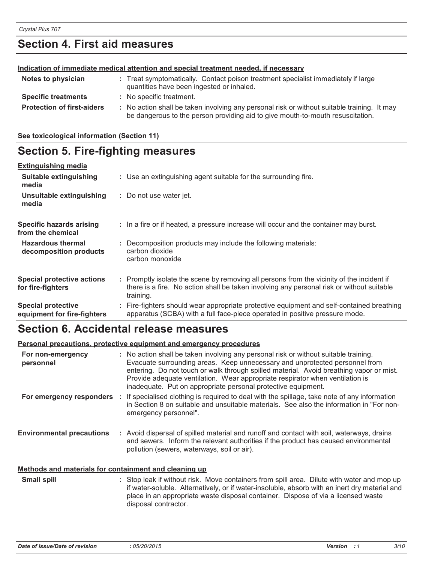# **Section 4. First aid measures Section 4. First aid measures**

|                                   | Indication of immediate medical attention and special treatment needed, if necessary                                                                                          |
|-----------------------------------|-------------------------------------------------------------------------------------------------------------------------------------------------------------------------------|
| Notes to physician                | : Treat symptomatically. Contact poison treatment specialist immediately if large<br>quantities have been ingested or inhaled.                                                |
| <b>Specific treatments</b>        | : No specific treatment.                                                                                                                                                      |
| <b>Protection of first-aiders</b> | : No action shall be taken involving any personal risk or without suitable training. It may<br>be dangerous to the person providing aid to give mouth-to-mouth resuscitation. |

**See toxicological information (Section 11) See toxicological information (Section 11)**

#### **Section 5. Fire-fighting measures Section 5. Fire-fighting measures Extinguishing media**

| <b>Extinguishing media</b>                               |                                                                                                                                                                                                     |
|----------------------------------------------------------|-----------------------------------------------------------------------------------------------------------------------------------------------------------------------------------------------------|
| Suitable extinguishing<br>media                          | : Use an extinguishing agent suitable for the surrounding fire.                                                                                                                                     |
| Unsuitable extinguishing<br>media                        | : Do not use water jet.                                                                                                                                                                             |
| Specific hazards arising<br>from the chemical            | : In a fire or if heated, a pressure increase will occur and the container may burst.                                                                                                               |
| <b>Hazardous thermal</b><br>decomposition products       | : Decomposition products may include the following materials:<br>carbon dioxide<br>carbon monoxide                                                                                                  |
| <b>Special protective actions</b><br>for fire-fighters   | : Promptly isolate the scene by removing all persons from the vicinity of the incident if<br>there is a fire. No action shall be taken involving any personal risk or without suitable<br>training. |
| <b>Special protective</b><br>equipment for fire-fighters | : Fire-fighters should wear appropriate protective equipment and self-contained breathing<br>apparatus (SCBA) with a full face-piece operated in positive pressure mode.                            |

# **Section 6. Accidental release measures**

#### **Personal precautions, protective equipment and emergency procedures :** No action shall be taken involving any personal risk or without suitable training.  $\epsilon$  equipment and emergency procedures. **For non-emergency**  <u>'ersonal pr</u>

| For non-emergency<br>personnel                        | : No action shall be taken involving any personal risk or without suitable training.<br>Evacuate surrounding areas. Keep unnecessary and unprotected personnel from<br>entering. Do not touch or walk through spilled material. Avoid breathing vapor or mist.<br>Provide adequate ventilation. Wear appropriate respirator when ventilation is<br>inadequate. Put on appropriate personal protective equipment. |
|-------------------------------------------------------|------------------------------------------------------------------------------------------------------------------------------------------------------------------------------------------------------------------------------------------------------------------------------------------------------------------------------------------------------------------------------------------------------------------|
| For emergency responders                              | : If specialised clothing is required to deal with the spillage, take note of any information<br>in Section 8 on suitable and unsuitable materials. See also the information in "For non-<br>emergency personnel".                                                                                                                                                                                               |
| <b>Environmental precautions</b>                      | : Avoid dispersal of spilled material and runoff and contact with soil, waterways, drains<br>and sewers. Inform the relevant authorities if the product has caused environmental<br>pollution (sewers, waterways, soil or air).                                                                                                                                                                                  |
| Methods and materials for containment and cleaning up |                                                                                                                                                                                                                                                                                                                                                                                                                  |
| Small spill                                           | : Stop leak if without risk Move containers from spill area. Dilute with water and mop up                                                                                                                                                                                                                                                                                                                        |

#### Stop leak if without risk. Move containers from spill area. Dilute with water and mop up if water-soluble. Alternatively, or if water-insoluble, absorb with an inert dry material and place in an appropriate waste disposal container. Dispose of via a licensed waste disposal contractor. **Small spill :**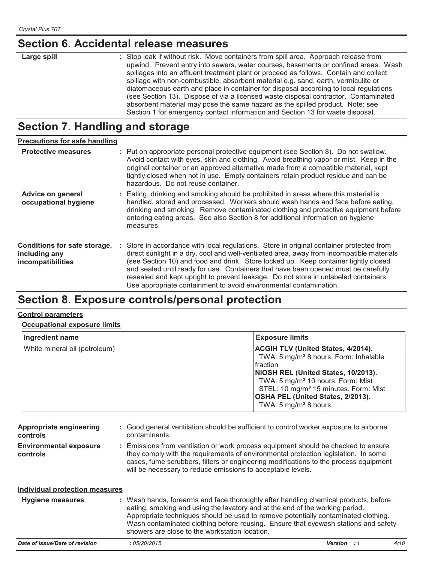# **Section 6. Accidental release measures Section 6. Accidental release measures**

| Large spill | : Stop leak if without risk. Move containers from spill area. Approach release from                                                                                                                                              |
|-------------|----------------------------------------------------------------------------------------------------------------------------------------------------------------------------------------------------------------------------------|
|             | upwind. Prevent entry into sewers, water courses, basements or confined areas. Wash                                                                                                                                              |
|             | spillages into an effluent treatment plant or proceed as follows. Contain and collect                                                                                                                                            |
|             | spillage with non-combustible, absorbent material e.g. sand, earth, vermiculite or                                                                                                                                               |
|             | diatomaceous earth and place in container for disposal according to local regulations                                                                                                                                            |
|             | (see Section 13). Dispose of via a licensed waste disposal contractor. Contaminated                                                                                                                                              |
|             | absorbent material may pose the same hazard as the spilled product. Note: see                                                                                                                                                    |
|             | $\circ$ . The contract of the contract of the contract of the contract of the contract of the contract of the contract of the contract of the contract of the contract of the contract of the contract of the contract of the co |

#### **Section 7. Handling and storage Section 7. Handling and storage**

| <b>Precautions for safe handling</b>                               |                                                                                                                                                                                                                                                                                                                                                                                                                                                                                                                                |
|--------------------------------------------------------------------|--------------------------------------------------------------------------------------------------------------------------------------------------------------------------------------------------------------------------------------------------------------------------------------------------------------------------------------------------------------------------------------------------------------------------------------------------------------------------------------------------------------------------------|
| <b>Protective measures</b>                                         | : Put on appropriate personal protective equipment (see Section 8). Do not swallow.<br>Avoid contact with eyes, skin and clothing. Avoid breathing vapor or mist. Keep in the<br>original container or an approved alternative made from a compatible material, kept<br>tightly closed when not in use. Empty containers retain product residue and can be<br>hazardous. Do not reuse container.                                                                                                                               |
| Advice on general<br>occupational hygiene                          | : Eating, drinking and smoking should be prohibited in areas where this material is<br>handled, stored and processed. Workers should wash hands and face before eating,<br>drinking and smoking. Remove contaminated clothing and protective equipment before<br>entering eating areas. See also Section 8 for additional information on hygiene<br>measures.                                                                                                                                                                  |
| Conditions for safe storage,<br>including any<br>incompatibilities | : Store in accordance with local regulations. Store in original container protected from<br>direct sunlight in a dry, cool and well-ventilated area, away from incompatible materials<br>(see Section 10) and food and drink. Store locked up. Keep container tightly closed<br>and sealed until ready for use. Containers that have been opened must be carefully<br>resealed and kept upright to prevent leakage. Do not store in unlabeled containers.<br>Use appropriate containment to avoid environmental contamination. |

Section 1 for emergency contact information and Section 13 for waste disposal.

# **Section 8. Exposure controls/personal protection Control parameters**

## **Control parameters**

### **<u>Occupational exposure limits</u>**

| Ingredient name               | <b>Exposure limits</b>                                                                                                                                                                                                                                                                                                                   |
|-------------------------------|------------------------------------------------------------------------------------------------------------------------------------------------------------------------------------------------------------------------------------------------------------------------------------------------------------------------------------------|
| White mineral oil (petroleum) | <b>ACGIH TLV (United States, 4/2014).</b><br>TWA: 5 mg/m <sup>3</sup> 8 hours. Form: Inhalable<br>Ifraction<br>NIOSH REL (United States, 10/2013).<br>TWA: 5 mg/m <sup>3</sup> 10 hours. Form: Mist<br>STEL: 10 mg/m <sup>3</sup> 15 minutes. Form: Mist<br><b>OSHA PEL (United States, 2/2013).</b><br>TWA: $5 \text{ mg/m}^3$ 8 hours. |

| Appropriate engineering<br>controls       | : Good general ventilation should be sufficient to control worker exposure to airborne<br>contaminants.                                                                                                                                                                                                                                                                                           |
|-------------------------------------------|---------------------------------------------------------------------------------------------------------------------------------------------------------------------------------------------------------------------------------------------------------------------------------------------------------------------------------------------------------------------------------------------------|
| <b>Environmental exposure</b><br>controls | : Emissions from ventilation or work process equipment should be checked to ensure<br>they comply with the requirements of environmental protection legislation. In some<br>cases, fume scrubbers, filters or engineering modifications to the process equipment<br>will be necessary to reduce emissions to acceptable levels.                                                                   |
| Individual protection measures            |                                                                                                                                                                                                                                                                                                                                                                                                   |
| <b>Hygiene measures</b>                   | : Wash hands, forearms and face thoroughly after handling chemical products, before<br>eating, smoking and using the lavatory and at the end of the working period.<br>Appropriate techniques should be used to remove potentially contaminated clothing.<br>Wash contaminated clothing before reusing. Ensure that eyewash stations and safety<br>showers are close to the workstation location. |
|                                           |                                                                                                                                                                                                                                                                                                                                                                                                   |

| Date of issue/Date of revision | : 05/20/2015 | <b>Version</b> | 4/10 |
|--------------------------------|--------------|----------------|------|
|                                |              |                |      |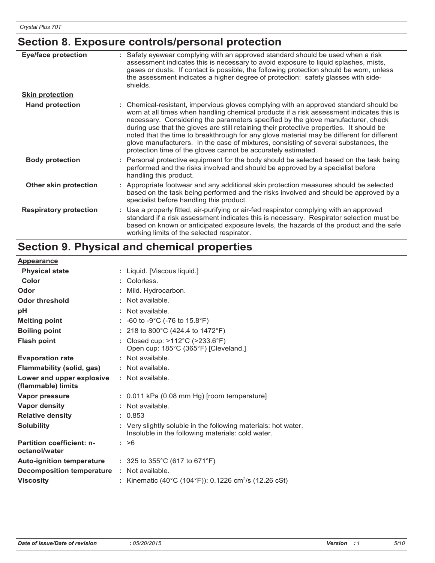# **Section 8. Exposure controls/personal protection**

| <b>Eye/face protection</b>    | : Safety eyewear complying with an approved standard should be used when a risk<br>assessment indicates this is necessary to avoid exposure to liquid splashes, mists,<br>gases or dusts. If contact is possible, the following protection should be worn, unless<br>the assessment indicates a higher degree of protection: safety glasses with side-<br>shields.                                                                                                                                                                                                                                                     |
|-------------------------------|------------------------------------------------------------------------------------------------------------------------------------------------------------------------------------------------------------------------------------------------------------------------------------------------------------------------------------------------------------------------------------------------------------------------------------------------------------------------------------------------------------------------------------------------------------------------------------------------------------------------|
| <b>Skin protection</b>        |                                                                                                                                                                                                                                                                                                                                                                                                                                                                                                                                                                                                                        |
| <b>Hand protection</b>        | : Chemical-resistant, impervious gloves complying with an approved standard should be<br>worn at all times when handling chemical products if a risk assessment indicates this is<br>necessary. Considering the parameters specified by the glove manufacturer, check<br>during use that the gloves are still retaining their protective properties. It should be<br>noted that the time to breakthrough for any glove material may be different for different<br>glove manufacturers. In the case of mixtures, consisting of several substances, the<br>protection time of the gloves cannot be accurately estimated. |
| <b>Body protection</b>        | : Personal protective equipment for the body should be selected based on the task being<br>performed and the risks involved and should be approved by a specialist before<br>handling this product.                                                                                                                                                                                                                                                                                                                                                                                                                    |
| Other skin protection         | : Appropriate footwear and any additional skin protection measures should be selected<br>based on the task being performed and the risks involved and should be approved by a<br>specialist before handling this product.                                                                                                                                                                                                                                                                                                                                                                                              |
| <b>Respiratory protection</b> | : Use a properly fitted, air-purifying or air-fed respirator complying with an approved<br>standard if a risk assessment indicates this is necessary. Respirator selection must be<br>based on known or anticipated exposure levels, the hazards of the product and the safe<br>working limits of the selected respirator.                                                                                                                                                                                                                                                                                             |

# **Section 9. Physical and chemical properties**

| <b>Appearance</b>                                 |                                                                                                                     |
|---------------------------------------------------|---------------------------------------------------------------------------------------------------------------------|
| <b>Physical state</b>                             | : Liquid. [Viscous liquid.]                                                                                         |
| Color                                             | : Colorless.                                                                                                        |
| Odor                                              | : Mild. Hydrocarbon.                                                                                                |
| Odor threshold                                    | : Not available.                                                                                                    |
| pH                                                | : Not available.                                                                                                    |
| <b>Melting point</b>                              | : $-60$ to $-9^{\circ}$ C ( $-76$ to $15.8^{\circ}$ F)                                                              |
| <b>Boiling point</b>                              | : 218 to 800°C (424.4 to 1472°F)                                                                                    |
| <b>Flash point</b>                                | : Closed cup: >112°C (>233.6°F)<br>Open cup: 185°C (365°F) [Cleveland.]                                             |
| <b>Evaporation rate</b>                           | : Not available.                                                                                                    |
| Flammability (solid, gas)                         | : Not available.                                                                                                    |
| Lower and upper explosive<br>(flammable) limits   | : Not available.                                                                                                    |
| Vapor pressure                                    | $: 0.011$ kPa (0.08 mm Hg) [room temperature]                                                                       |
| <b>Vapor density</b>                              | $:$ Not available.                                                                                                  |
| <b>Relative density</b>                           | : 0.853                                                                                                             |
| <b>Solubility</b>                                 | : Very slightly soluble in the following materials: hot water.<br>Insoluble in the following materials: cold water. |
| <b>Partition coefficient: n-</b><br>octanol/water | : >6                                                                                                                |
| <b>Auto-ignition temperature</b>                  | : 325 to 355 $^{\circ}$ C (617 to 671 $^{\circ}$ F)                                                                 |
| <b>Decomposition temperature</b>                  | : Not available.                                                                                                    |
| <b>Viscosity</b>                                  | : Kinematic (40°C (104°F)): 0.1226 cm <sup>2</sup> /s (12.26 cSt)                                                   |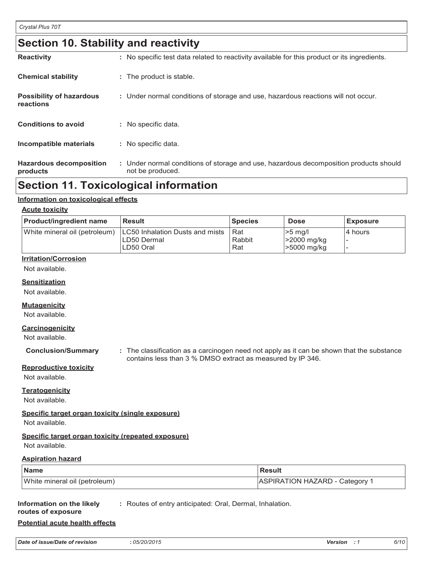# **Section 10. Stability and reactivity**

| <b>Hazardous decomposition</b><br>products   | : Under normal conditions of storage and use, hazardous decomposition products should<br>not be produced. |
|----------------------------------------------|-----------------------------------------------------------------------------------------------------------|
| Incompatible materials                       | : No specific data.                                                                                       |
| <b>Conditions to avoid</b>                   | : No specific data.                                                                                       |
| <b>Possibility of hazardous</b><br>reactions | : Under normal conditions of storage and use, hazardous reactions will not occur.                         |
| <b>Chemical stability</b>                    | : The product is stable.                                                                                  |
| <b>Reactivity</b>                            | : No specific test data related to reactivity available for this product or its ingredients.              |

# **Section 11. Toxicological information**

#### **Information on toxicological effects**

#### **Acute toxicity**

| <b>Product/ingredient name</b> | <b>Result</b>                                                | <b>Species</b>       | <b>Dose</b>                               | <b>Exposure</b> |
|--------------------------------|--------------------------------------------------------------|----------------------|-------------------------------------------|-----------------|
| White mineral oil (petroleum)  | LC50 Inhalation Dusts and mists<br>LD50 Dermal<br>ILD50 Oral | Rat<br>Rabbit<br>Rat | $>5$ ma/l<br> >2000 mg/kg<br> >5000 mg/kg | I4 hours        |

#### **Irritation/Corrosion**

Not available.

#### **Sensitization**

Not available.

#### **Mutagenicity**

Not available.

#### **Carcinogenicity**

Not available.

**Conclusion/Summary :** The classification as a carcinogen need not apply as it can be shown that the substance contains less than 3 % DMSO extract as measured by IP 346.

#### **Reproductive toxicity**

Not available.

### **Teratogenicity**

Not available.

#### **Specific target organ toxicity (single exposure)**

Not available.

### **Specific target organ toxicity (repeated exposure)**

Not available.

#### **Aspiration hazard**

| <b>Name</b>                   | <b>Result</b>                         |  |  |
|-------------------------------|---------------------------------------|--|--|
| White mineral oil (petroleum) | <b>ASPIRATION HAZARD - Category 1</b> |  |  |

#### **Information on the likely :** Routes of entry anticipated: Oral, Dermal, Inhalation.

## **routes of exposure**

## **Potential acute health effects**

| Date of issue/Date of revision | 05/20/2015 | 6/10<br>Version |
|--------------------------------|------------|-----------------|
|--------------------------------|------------|-----------------|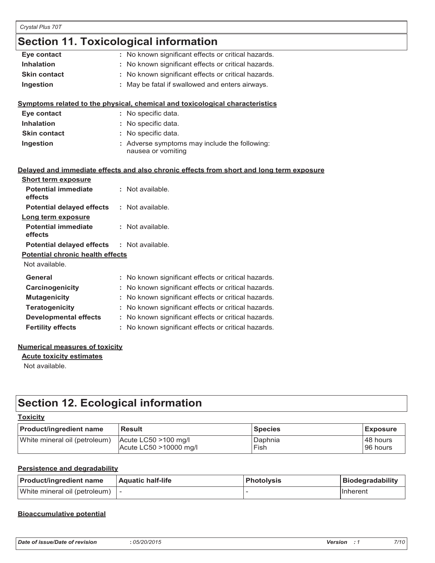# **Section 11. Toxicological information**

|                                         | occuon n. roxicological information                                                      |
|-----------------------------------------|------------------------------------------------------------------------------------------|
| Eye contact                             | : No known significant effects or critical hazards.                                      |
| <b>Inhalation</b>                       | No known significant effects or critical hazards.                                        |
| <b>Skin contact</b>                     | No known significant effects or critical hazards.                                        |
| Ingestion                               | May be fatal if swallowed and enters airways.                                            |
|                                         | Symptoms related to the physical, chemical and toxicological characteristics             |
| Eye contact                             | : No specific data.                                                                      |
| <b>Inhalation</b>                       | No specific data.                                                                        |
| <b>Skin contact</b>                     | : No specific data.                                                                      |
| Ingestion                               | : Adverse symptoms may include the following:<br>nausea or vomiting                      |
|                                         | Delayed and immediate effects and also chronic effects from short and long term exposure |
| <b>Short term exposure</b>              |                                                                                          |
| <b>Potential immediate</b><br>effects   | : Not available.                                                                         |
| <b>Potential delayed effects</b>        | : Not available.                                                                         |
| Long term exposure                      |                                                                                          |
| <b>Potential immediate</b><br>effects   | : Not available.                                                                         |
| <b>Potential delayed effects</b>        | : Not available.                                                                         |
| <b>Potential chronic health effects</b> |                                                                                          |
| Not available.                          |                                                                                          |
| General                                 | : No known significant effects or critical hazards.                                      |
| Carcinogenicity                         | No known significant effects or critical hazards.                                        |
| <b>Mutagenicity</b>                     | No known significant effects or critical hazards.                                        |
| <b>Teratogenicity</b>                   | No known significant effects or critical hazards.                                        |
| <b>Developmental effects</b>            | : No known significant effects or critical hazards.                                      |
| <b>Fertility effects</b>                | : No known significant effects or critical hazards.                                      |

#### **Numerical measures of toxicity**

**Acute toxicity estimates**

Not available.

# **Section 12. Ecological information**

| <b>Product/ingredient name</b> | <b>Result</b>            | <b>Species</b> | <b>Exposure</b> |
|--------------------------------|--------------------------|----------------|-----------------|
| White mineral oil (petroleum)  | $ $ Acute LC50 >100 mg/l | Daphnia        | 48 hours        |
|                                | Acute LC50 >10000 mg/l   | Fish           | 96 hours        |

#### **Persistence and degradability**

| <b>Product/ingredient name</b> | Aquatic half-life | Photolysis | Biodegradability |
|--------------------------------|-------------------|------------|------------------|
| White mineral oil (petroleum)  |                   |            | <b>IInherent</b> |

#### **Bioaccumulative potential**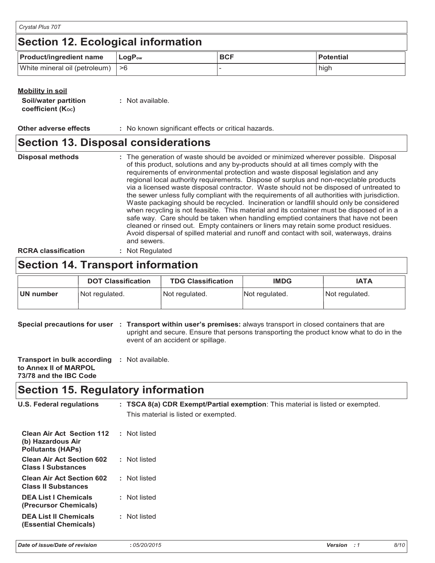| Crystal Plus 70T                          |                             |            |                  |  |  |  |
|-------------------------------------------|-----------------------------|------------|------------------|--|--|--|
| <b>Section 12. Ecological information</b> |                             |            |                  |  |  |  |
| <b>Product/ingredient name</b>            | $\mathsf{LogP}_\mathsf{ow}$ | <b>BCF</b> | <b>Potential</b> |  |  |  |
| White mineral oil (petroleum)  >6         |                             |            | high             |  |  |  |

| : Not available. |
|------------------|
|                  |

**Other adverse effects** : No known significant effects or critical hazards.

## **Section 13. Disposal considerations**

The generation of waste should be avoided or minimized wherever possible. Disposal of this product, solutions and any by-products should at all times comply with the requirements of environmental protection and waste disposal legislation and any regional local authority requirements. Dispose of surplus and non-recyclable products via a licensed waste disposal contractor. Waste should not be disposed of untreated to the sewer unless fully compliant with the requirements of all authorities with jurisdiction. Waste packaging should be recycled. Incineration or landfill should only be considered when recycling is not feasible. This material and its container must be disposed of in a safe way. Care should be taken when handling emptied containers that have not been cleaned or rinsed out. Empty containers or liners may retain some product residues. Avoid dispersal of spilled material and runoff and contact with soil, waterways, drains and sewers. **Disposal methods : RCRA classification :** Not Regulated

# **Section 14. Transport information**

|           | <b>DOT Classification</b> | <b>TDG Classification</b> | <b>IMDG</b>    | <b>IATA</b>    |
|-----------|---------------------------|---------------------------|----------------|----------------|
| UN number | Not regulated.            | Not regulated.            | Not regulated. | Not regulated. |

**Special precautions for user** : Transport within user's premises: always transport in closed containers that are upright and secure. Ensure that persons transporting the product know what to do in the event of an accident or spillage.

| Transport in bulk according | : Not available. |
|-----------------------------|------------------|
| to Annex II of MARPOL       |                  |
| 73/78 and the IBC Code      |                  |

# **Section 15. Regulatory information**

| <b>U.S. Federal regulations</b>                                                   | : TSCA 8(a) CDR Exempt/Partial exemption: This material is listed or exempted.<br>This material is listed or exempted. |
|-----------------------------------------------------------------------------------|------------------------------------------------------------------------------------------------------------------------|
| <b>Clean Air Act Section 112</b><br>(b) Hazardous Air<br><b>Pollutants (HAPs)</b> | : Not listed                                                                                                           |
| <b>Clean Air Act Section 602</b><br><b>Class I Substances</b>                     | : Not listed                                                                                                           |
| <b>Clean Air Act Section 602</b><br><b>Class II Substances</b>                    | : Not listed                                                                                                           |
| <b>DEA List I Chemicals</b><br>(Precursor Chemicals)                              | : Not listed                                                                                                           |
| <b>DEA List II Chemicals</b><br>(Essential Chemicals)                             | : Not listed                                                                                                           |
|                                                                                   |                                                                                                                        |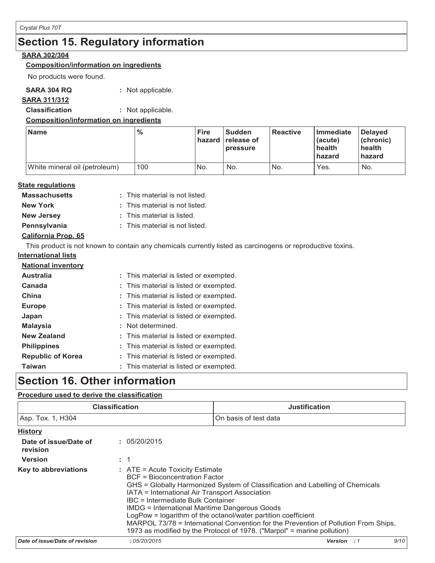# **Section 15. Regulatory information Section 15. Regulatory information**

### **SARA 302/304 SARA 302/304**

### **Composition/information on ingredients Composition/information on ingredients**

No products were found. No products were found.

## **SARA 304 RQ :** Not applicable. **SARA 304 RQ :** Not applicable.

## **SARA 311/312 SARA 311/312**

**Classification :** Not applicable. **Classification :** Not applicable.

## **Composition/information on ingredients Composition/information on ingredients**

| <b>Name</b>                   | $\frac{9}{6}$ | <b>Fire</b><br>hazard | <b>Sudden</b><br><b>release of</b><br>pressure | <b>Reactive</b> | Immediate<br>(acute)<br>health<br><b>hazard</b> | Delayed<br>$ $ (chronic)<br>health<br>  hazard |
|-------------------------------|---------------|-----------------------|------------------------------------------------|-----------------|-------------------------------------------------|------------------------------------------------|
| White mineral oil (petroleum) | 100           | IN <sub>o</sub>       | No.                                            | No.             | Yes.                                            | No.                                            |

## **State regulations State regulations**

| <b>Massachusetts</b> | : This material is not listed. |
|----------------------|--------------------------------|
| <b>New York</b>      | : This material is not listed. |
| <b>New Jersey</b>    | : This material is listed.     |
| Pennsylvania         | : This material is not listed. |

## **California Prop. 65 California Prop. 65**

This product is not known to contain any chemicals currently listed as carcinogens or reproductive toxins. This product is not known to contain any chemicals currently listed as carcinogens or reproductive toxins.

## **International lists International lists**

| <b>National inventory</b> |                                        |
|---------------------------|----------------------------------------|
| <b>Australia</b>          | : This material is listed or exempted. |
| Canada                    | : This material is listed or exempted. |
| China                     | : This material is listed or exempted. |
| <b>Europe</b>             | : This material is listed or exempted. |
| Japan                     | : This material is listed or exempted. |
| <b>Malaysia</b>           | : Not determined.                      |
| <b>New Zealand</b>        | : This material is listed or exempted. |
| <b>Philippines</b>        | : This material is listed or exempted. |
| <b>Republic of Korea</b>  | : This material is listed or exempted. |
| <b>Taiwan</b>             | : This material is listed or exempted. |

# **Section 16. Other information Section 16. Other information**

# **Procedure used to derive the classification Procedure used to derive the classification**

|                                   | <b>Classification</b>                                                                                                                                                                                             | <b>Justification</b>                                                                                                                                                                                                                                                                                             |      |
|-----------------------------------|-------------------------------------------------------------------------------------------------------------------------------------------------------------------------------------------------------------------|------------------------------------------------------------------------------------------------------------------------------------------------------------------------------------------------------------------------------------------------------------------------------------------------------------------|------|
| Asp. Tox. 1, H304                 |                                                                                                                                                                                                                   | On basis of test data                                                                                                                                                                                                                                                                                            |      |
| <b>History</b>                    |                                                                                                                                                                                                                   |                                                                                                                                                                                                                                                                                                                  |      |
| Date of issue/Date of<br>revision | : 05/20/2015                                                                                                                                                                                                      |                                                                                                                                                                                                                                                                                                                  |      |
| <b>Version</b>                    | $\therefore$ 1                                                                                                                                                                                                    |                                                                                                                                                                                                                                                                                                                  |      |
| <b>Key to abbreviations</b>       | $:$ ATE = Acute Toxicity Estimate<br><b>BCF</b> = Bioconcentration Factor<br>IATA = International Air Transport Association<br>IBC = Intermediate Bulk Container<br>IMDG = International Maritime Dangerous Goods | GHS = Globally Harmonized System of Classification and Labelling of Chemicals<br>LogPow = logarithm of the octanol/water partition coefficient<br>MARPOL 73/78 = International Convention for the Prevention of Pollution From Ships,<br>1973 as modified by the Protocol of 1978. ("Marpol" = marine pollution) |      |
| Date of issue/Date of revision    | :05/20/2015                                                                                                                                                                                                       | <b>Version</b><br>$\cdot$ 1                                                                                                                                                                                                                                                                                      | 9/10 |